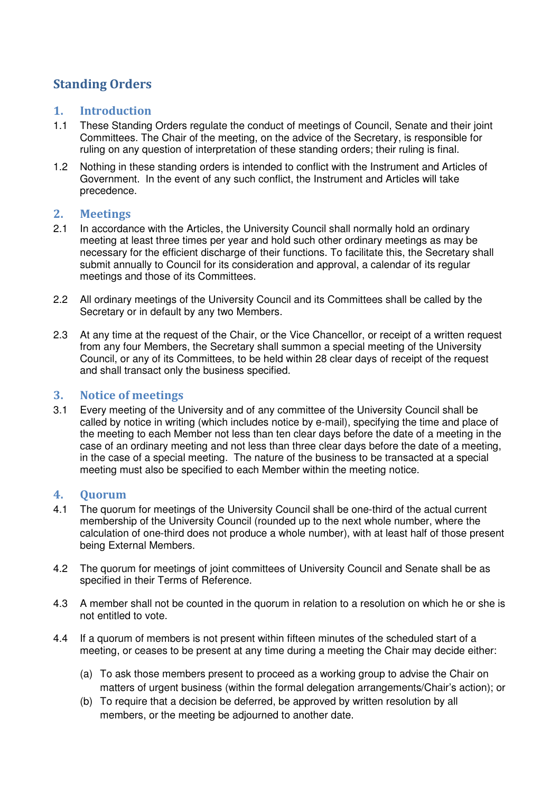# Standing Orders

# 1. Introduction

- 1.1 These Standing Orders regulate the conduct of meetings of Council, Senate and their joint Committees. The Chair of the meeting, on the advice of the Secretary, is responsible for ruling on any question of interpretation of these standing orders; their ruling is final.
- 1.2 Nothing in these standing orders is intended to conflict with the Instrument and Articles of Government. In the event of any such conflict, the Instrument and Articles will take precedence.

# 2. Meetings

- 2.1 In accordance with the Articles, the University Council shall normally hold an ordinary meeting at least three times per year and hold such other ordinary meetings as may be necessary for the efficient discharge of their functions. To facilitate this, the Secretary shall submit annually to Council for its consideration and approval, a calendar of its regular meetings and those of its Committees.
- 2.2 All ordinary meetings of the University Council and its Committees shall be called by the Secretary or in default by any two Members.
- 2.3 At any time at the request of the Chair, or the Vice Chancellor, or receipt of a written request from any four Members, the Secretary shall summon a special meeting of the University Council, or any of its Committees, to be held within 28 clear days of receipt of the request and shall transact only the business specified.

### 3. Notice of meetings

3.1 Every meeting of the University and of any committee of the University Council shall be called by notice in writing (which includes notice by e-mail), specifying the time and place of the meeting to each Member not less than ten clear days before the date of a meeting in the case of an ordinary meeting and not less than three clear days before the date of a meeting, in the case of a special meeting. The nature of the business to be transacted at a special meeting must also be specified to each Member within the meeting notice.

# 4. Quorum

- 4.1 The quorum for meetings of the University Council shall be one-third of the actual current membership of the University Council (rounded up to the next whole number, where the calculation of one-third does not produce a whole number), with at least half of those present being External Members.
- 4.2 The quorum for meetings of joint committees of University Council and Senate shall be as specified in their Terms of Reference.
- 4.3 A member shall not be counted in the quorum in relation to a resolution on which he or she is not entitled to vote.
- 4.4 If a quorum of members is not present within fifteen minutes of the scheduled start of a meeting, or ceases to be present at any time during a meeting the Chair may decide either:
	- (a) To ask those members present to proceed as a working group to advise the Chair on matters of urgent business (within the formal delegation arrangements/Chair's action); or
	- (b) To require that a decision be deferred, be approved by written resolution by all members, or the meeting be adjourned to another date.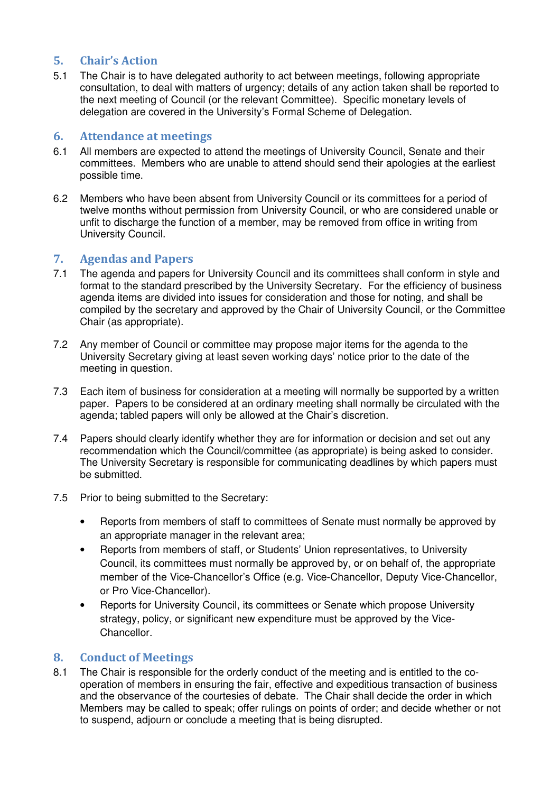# 5. Chair's Action

5.1 The Chair is to have delegated authority to act between meetings, following appropriate consultation, to deal with matters of urgency; details of any action taken shall be reported to the next meeting of Council (or the relevant Committee). Specific monetary levels of delegation are covered in the University's Formal Scheme of Delegation.

### 6. Attendance at meetings

- 6.1 All members are expected to attend the meetings of University Council, Senate and their committees. Members who are unable to attend should send their apologies at the earliest possible time.
- 6.2 Members who have been absent from University Council or its committees for a period of twelve months without permission from University Council, or who are considered unable or unfit to discharge the function of a member, may be removed from office in writing from University Council.

# 7. Agendas and Papers

- 7.1 The agenda and papers for University Council and its committees shall conform in style and format to the standard prescribed by the University Secretary. For the efficiency of business agenda items are divided into issues for consideration and those for noting, and shall be compiled by the secretary and approved by the Chair of University Council, or the Committee Chair (as appropriate).
- 7.2 Any member of Council or committee may propose major items for the agenda to the University Secretary giving at least seven working days' notice prior to the date of the meeting in question.
- 7.3 Each item of business for consideration at a meeting will normally be supported by a written paper. Papers to be considered at an ordinary meeting shall normally be circulated with the agenda; tabled papers will only be allowed at the Chair's discretion.
- 7.4 Papers should clearly identify whether they are for information or decision and set out any recommendation which the Council/committee (as appropriate) is being asked to consider. The University Secretary is responsible for communicating deadlines by which papers must be submitted.
- 7.5 Prior to being submitted to the Secretary:
	- Reports from members of staff to committees of Senate must normally be approved by an appropriate manager in the relevant area;
	- Reports from members of staff, or Students' Union representatives, to University Council, its committees must normally be approved by, or on behalf of, the appropriate member of the Vice-Chancellor's Office (e.g. Vice-Chancellor, Deputy Vice-Chancellor, or Pro Vice-Chancellor).
	- Reports for University Council, its committees or Senate which propose University strategy, policy, or significant new expenditure must be approved by the Vice-Chancellor.

# 8. Conduct of Meetings

8.1 The Chair is responsible for the orderly conduct of the meeting and is entitled to the cooperation of members in ensuring the fair, effective and expeditious transaction of business and the observance of the courtesies of debate. The Chair shall decide the order in which Members may be called to speak; offer rulings on points of order; and decide whether or not to suspend, adjourn or conclude a meeting that is being disrupted.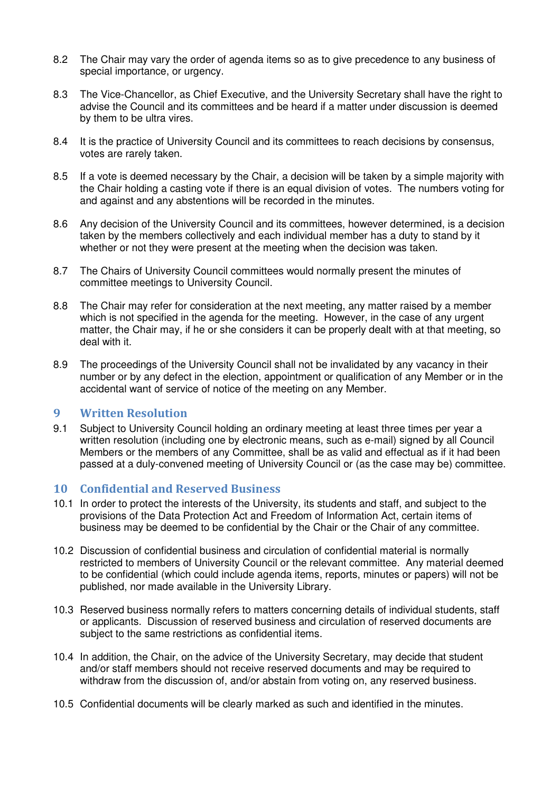- 8.2 The Chair may vary the order of agenda items so as to give precedence to any business of special importance, or urgency.
- 8.3 The Vice-Chancellor, as Chief Executive, and the University Secretary shall have the right to advise the Council and its committees and be heard if a matter under discussion is deemed by them to be ultra vires.
- 8.4 It is the practice of University Council and its committees to reach decisions by consensus, votes are rarely taken.
- 8.5 If a vote is deemed necessary by the Chair, a decision will be taken by a simple majority with the Chair holding a casting vote if there is an equal division of votes. The numbers voting for and against and any abstentions will be recorded in the minutes.
- 8.6 Any decision of the University Council and its committees, however determined, is a decision taken by the members collectively and each individual member has a duty to stand by it whether or not they were present at the meeting when the decision was taken.
- 8.7 The Chairs of University Council committees would normally present the minutes of committee meetings to University Council.
- 8.8 The Chair may refer for consideration at the next meeting, any matter raised by a member which is not specified in the agenda for the meeting. However, in the case of any urgent matter, the Chair may, if he or she considers it can be properly dealt with at that meeting, so deal with it.
- 8.9 The proceedings of the University Council shall not be invalidated by any vacancy in their number or by any defect in the election, appointment or qualification of any Member or in the accidental want of service of notice of the meeting on any Member.

#### 9 Written Resolution

9.1 Subject to University Council holding an ordinary meeting at least three times per year a written resolution (including one by electronic means, such as e-mail) signed by all Council Members or the members of any Committee, shall be as valid and effectual as if it had been passed at a duly-convened meeting of University Council or (as the case may be) committee.

#### 10 Confidential and Reserved Business

- 10.1 In order to protect the interests of the University, its students and staff, and subject to the provisions of the Data Protection Act and Freedom of Information Act, certain items of business may be deemed to be confidential by the Chair or the Chair of any committee.
- 10.2 Discussion of confidential business and circulation of confidential material is normally restricted to members of University Council or the relevant committee. Any material deemed to be confidential (which could include agenda items, reports, minutes or papers) will not be published, nor made available in the University Library.
- 10.3 Reserved business normally refers to matters concerning details of individual students, staff or applicants. Discussion of reserved business and circulation of reserved documents are subject to the same restrictions as confidential items.
- 10.4 In addition, the Chair, on the advice of the University Secretary, may decide that student and/or staff members should not receive reserved documents and may be required to withdraw from the discussion of, and/or abstain from voting on, any reserved business.
- 10.5 Confidential documents will be clearly marked as such and identified in the minutes.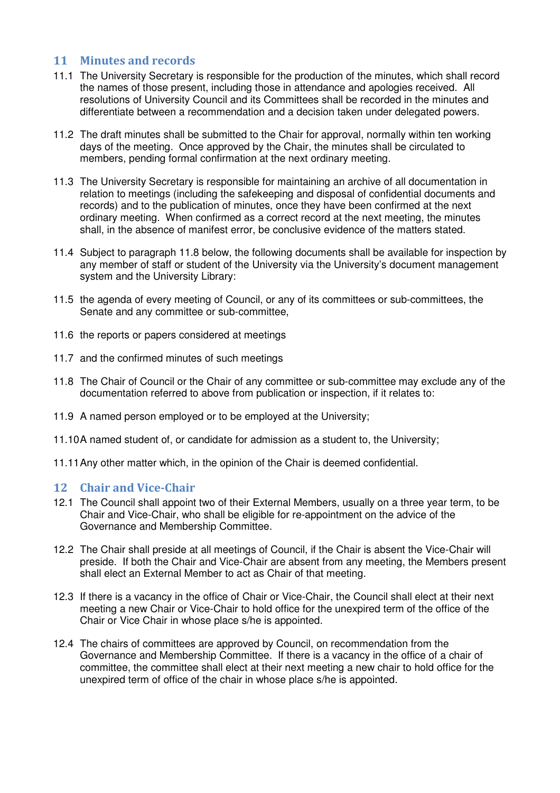# 11 Minutes and records

- 11.1 The University Secretary is responsible for the production of the minutes, which shall record the names of those present, including those in attendance and apologies received. All resolutions of University Council and its Committees shall be recorded in the minutes and differentiate between a recommendation and a decision taken under delegated powers.
- 11.2 The draft minutes shall be submitted to the Chair for approval, normally within ten working days of the meeting. Once approved by the Chair, the minutes shall be circulated to members, pending formal confirmation at the next ordinary meeting.
- 11.3 The University Secretary is responsible for maintaining an archive of all documentation in relation to meetings (including the safekeeping and disposal of confidential documents and records) and to the publication of minutes, once they have been confirmed at the next ordinary meeting. When confirmed as a correct record at the next meeting, the minutes shall, in the absence of manifest error, be conclusive evidence of the matters stated.
- 11.4 Subject to paragraph 11.8 below, the following documents shall be available for inspection by any member of staff or student of the University via the University's document management system and the University Library:
- 11.5 the agenda of every meeting of Council, or any of its committees or sub-committees, the Senate and any committee or sub-committee,
- 11.6 the reports or papers considered at meetings
- 11.7 and the confirmed minutes of such meetings
- 11.8 The Chair of Council or the Chair of any committee or sub-committee may exclude any of the documentation referred to above from publication or inspection, if it relates to:
- 11.9 A named person employed or to be employed at the University;
- 11.10 A named student of, or candidate for admission as a student to, the University;
- 11.11 Any other matter which, in the opinion of the Chair is deemed confidential.

#### 12 Chair and Vice-Chair

- 12.1 The Council shall appoint two of their External Members, usually on a three year term, to be Chair and Vice-Chair, who shall be eligible for re-appointment on the advice of the Governance and Membership Committee.
- 12.2 The Chair shall preside at all meetings of Council, if the Chair is absent the Vice-Chair will preside. If both the Chair and Vice-Chair are absent from any meeting, the Members present shall elect an External Member to act as Chair of that meeting.
- 12.3 If there is a vacancy in the office of Chair or Vice-Chair, the Council shall elect at their next meeting a new Chair or Vice-Chair to hold office for the unexpired term of the office of the Chair or Vice Chair in whose place s/he is appointed.
- 12.4 The chairs of committees are approved by Council, on recommendation from the Governance and Membership Committee. If there is a vacancy in the office of a chair of committee, the committee shall elect at their next meeting a new chair to hold office for the unexpired term of office of the chair in whose place s/he is appointed.